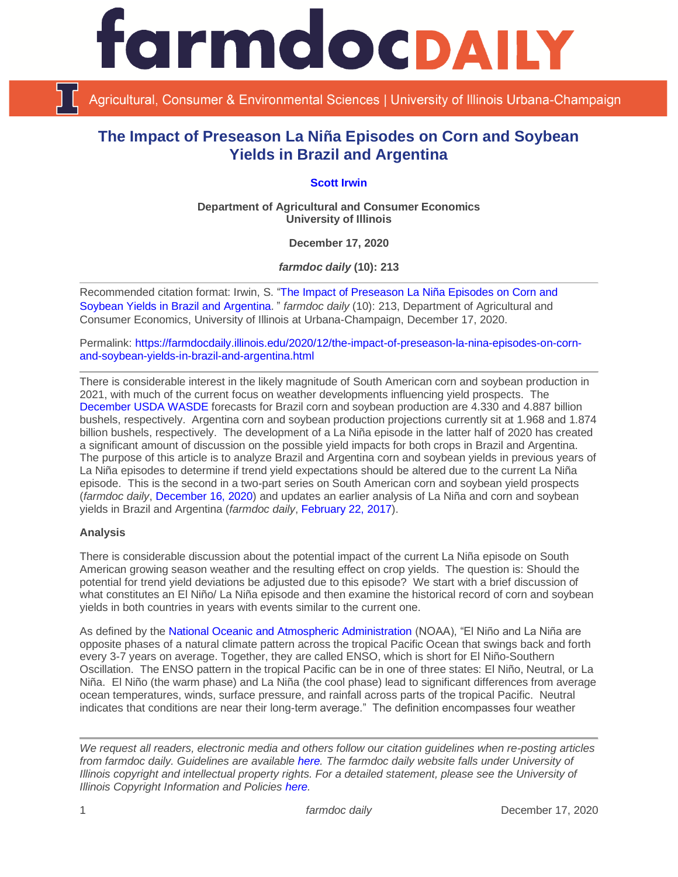

Agricultural, Consumer & Environmental Sciences | University of Illinois Urbana-Champaign

## **The Impact of Preseason La Niña Episodes on Corn and Soybean Yields in Brazil and Argentina**

**[Scott Irwin](http://www.farmdoc.illinois.edu/irwin/)**

**Department of Agricultural and Consumer Economics University of Illinois**

**December 17, 2020**

*farmdoc daily* **(10): 213**

Recommended citation format: Irwin, S. ["The Impact of Preseason La Niña Episodes on Corn and](https://farmdocdaily.illinois.edu/2020/12/the-impact-of-preseason-la-nina-episodes-on-corn-and-soybean-yields-in-brazil-and-argentina.html)  [Soybean Yields in Brazil and Argentina](https://farmdocdaily.illinois.edu/2020/12/the-impact-of-preseason-la-nina-episodes-on-corn-and-soybean-yields-in-brazil-and-argentina.html)." *farmdoc daily* (10): 213, Department of Agricultural and Consumer Economics, University of Illinois at Urbana-Champaign, December 17, 2020.

Permalink: [https://farmdocdaily.illinois.edu/2020/12/the-impact-of-preseason-la-nina-episodes-on-corn](https://farmdocdaily.illinois.edu/2020/12/the-impact-of-preseason-la-nina-episodes-on-corn-and-soybean-yields-in-brazil-and-argentina.html)[and-soybean-yields-in-brazil-and-argentina.html](https://farmdocdaily.illinois.edu/2020/12/the-impact-of-preseason-la-nina-episodes-on-corn-and-soybean-yields-in-brazil-and-argentina.html)

There is considerable interest in the likely magnitude of South American corn and soybean production in 2021, with much of the current focus on weather developments influencing yield prospects. The [December USDA WASDE](https://downloads.usda.library.cornell.edu/usda-esmis/files/3t945q76s/ft849g262/c247fj49w/latest.pdf) forecasts for Brazil corn and soybean production are 4.330 and 4.887 billion bushels, respectively. Argentina corn and soybean production projections currently sit at 1.968 and 1.874 billion bushels, respectively. The development of a La Niña episode in the latter half of 2020 has created a significant amount of discussion on the possible yield impacts for both crops in Brazil and Argentina. The purpose of this article is to analyze Brazil and Argentina corn and soybean yields in previous years of La Niña episodes to determine if trend yield expectations should be altered due to the current La Niña episode. This is the second in a two-part series on South American corn and soybean yield prospects (*farmdoc daily*, [December 16, 2020\)](https://farmdocdaily.illinois.edu/2020/12/revisiting-south-american-corn-and-soybean-yield-trends-and-risks.html) and updates an earlier analysis of La Niña and corn and soybean yields in Brazil and Argentina (*farmdoc daily*, [February 22, 2017\)](https://farmdocdaily.illinois.edu/2017/02/forming-expectations-for-2017-brazil-argentina.html).

## **Analysis**

There is considerable discussion about the potential impact of the current La Niña episode on South American growing season weather and the resulting effect on crop yields. The question is: Should the potential for trend yield deviations be adjusted due to this episode? We start with a brief discussion of what constitutes an El Niño/ La Niña episode and then examine the historical record of corn and soybean yields in both countries in years with events similar to the current one.

As defined by the [National Oceanic and Atmospheric Administration](https://www.climate.gov/news-features/understanding-climate/el-niño-and-la-niña-frequently-asked-questions) (NOAA), "El Niño and La Niña are opposite phases of a natural climate pattern across the tropical Pacific Ocean that swings back and forth every 3-7 years on average. Together, they are called ENSO, which is short for El Niño-Southern Oscillation. The ENSO pattern in the tropical Pacific can be in one of three states: El Niño, Neutral, or La Niña. El Niño (the warm phase) and La Niña (the cool phase) lead to significant differences from average ocean temperatures, winds, surface pressure, and rainfall across parts of the tropical Pacific. Neutral indicates that conditions are near their long-term average." The definition encompasses four weather

*We request all readers, electronic media and others follow our citation guidelines when re-posting articles from farmdoc daily. Guidelines are available [here.](http://farmdocdaily.illinois.edu/citationguide.html) The farmdoc daily website falls under University of Illinois copyright and intellectual property rights. For a detailed statement, please see the University of Illinois Copyright Information and Policies [here.](http://www.cio.illinois.edu/policies/copyright/)*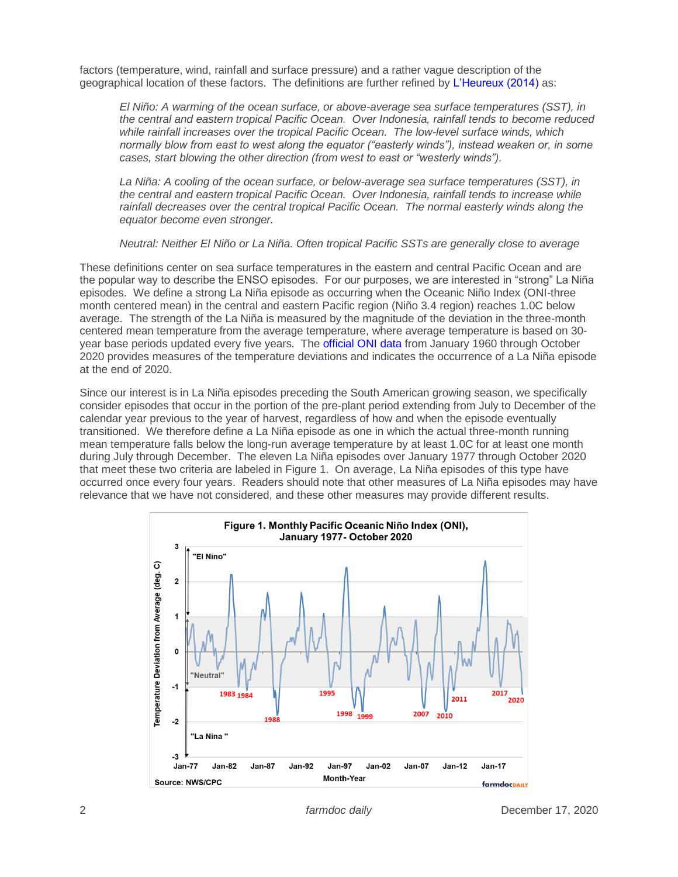factors (temperature, wind, rainfall and surface pressure) and a rather vague description of the geographical location of these factors. The definitions are further refined by [L'Heureux \(2014\)](https://www.climate.gov/news-features/blogs/enso/what-el-ni%C3%B1o%E2%80%93southern-oscillation-enso-nutshell) as:

*El Niño: A warming of the ocean surface, or above-average sea surface temperatures (SST), in the central and eastern tropical Pacific Ocean. Over Indonesia, rainfall tends to become reduced while rainfall increases over the tropical Pacific Ocean. The low-level surface winds, which normally blow from east to west along the equator ("easterly winds"), instead weaken or, in some cases, start blowing the other direction (from west to east or "westerly winds").*

*La Niña: A cooling of the ocean surface, or below-average sea surface temperatures (SST), in the central and eastern tropical Pacific Ocean. Over Indonesia, rainfall tends to increase while*  rainfall decreases over the central tropical Pacific Ocean. The normal easterly winds along the *equator become even stronger.*

*Neutral: Neither El Niño or La Niña. Often tropical Pacific SSTs are generally close to average* 

These definitions center on sea surface temperatures in the eastern and central Pacific Ocean and are the popular way to describe the ENSO episodes. For our purposes, we are interested in "strong" La Niña episodes. We define a strong La Niña episode as occurring when the Oceanic Niño Index (ONI-three month centered mean) in the central and eastern Pacific region (Niño 3.4 region) reaches 1.0C below average. The strength of the La Niña is measured by the magnitude of the deviation in the three-month centered mean temperature from the average temperature, where average temperature is based on 30 year base periods updated every five years. Th[e official ONI data](http://www.cpc.ncep.noaa.gov/products/analysis_monitoring/ensostuff/ensoyears.shtml) from January 1960 through October 2020 provides measures of the temperature deviations and indicates the occurrence of a La Niña episode at the end of 2020.

Since our interest is in La Niña episodes preceding the South American growing season, we specifically consider episodes that occur in the portion of the pre-plant period extending from July to December of the calendar year previous to the year of harvest, regardless of how and when the episode eventually transitioned. We therefore define a La Niña episode as one in which the actual three-month running mean temperature falls below the long-run average temperature by at least 1.0C for at least one month during July through December. The eleven La Niña episodes over January 1977 through October 2020 that meet these two criteria are labeled in Figure 1. On average, La Niña episodes of this type have occurred once every four years. Readers should note that other measures of La Niña episodes may have relevance that we have not considered, and these other measures may provide different results.

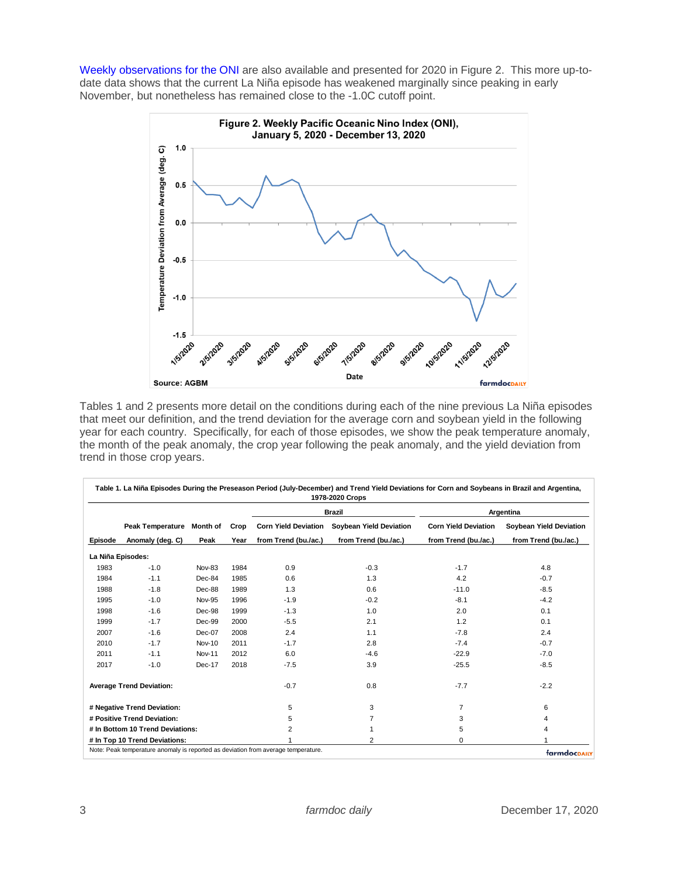[Weekly observations for the ONI](http://www.bom.gov.au/climate/enso/nino_3.4.txt) are also available and presented for 2020 in Figure 2. This more up-todate data shows that the current La Niña episode has weakened marginally since peaking in early November, but nonetheless has remained close to the -1.0C cutoff point.



Tables 1 and 2 presents more detail on the conditions during each of the nine previous La Niña episodes that meet our definition, and the trend deviation for the average corn and soybean yield in the following year for each country. Specifically, for each of those episodes, we show the peak temperature anomaly, the month of the peak anomaly, the crop year following the peak anomaly, and the yield deviation from trend in those crop years.

|                                 | <b>Peak Temperature</b>          | Month of      | Crop |                             | <b>Brazil</b>                  | Argentina                   |                         |
|---------------------------------|----------------------------------|---------------|------|-----------------------------|--------------------------------|-----------------------------|-------------------------|
|                                 |                                  |               |      | <b>Corn Yield Deviation</b> | <b>Soybean Yield Deviation</b> | <b>Corn Yield Deviation</b> | Soybean Yield Deviation |
| Episode                         | Anomaly (deg. C)                 | Peak          | Year | from Trend (bu./ac.)        | from Trend (bu./ac.)           | from Trend (bu./ac.)        | from Trend (bu./ac.)    |
|                                 | La Niña Episodes:                |               |      |                             |                                |                             |                         |
| 1983                            | $-1.0$                           | <b>Nov-83</b> | 1984 | 0.9                         | $-0.3$                         |                             | 4.8                     |
| 1984                            | $-1.1$                           | Dec-84        | 1985 | 0.6                         | 1.3                            | 4.2                         | $-0.7$                  |
| 1988                            | $-1.8$                           | Dec-88        | 1989 | 1.3                         | 0.6                            | $-11.0$                     | $-8.5$                  |
| 1995                            | $-1.0$                           | Nov-95        | 1996 | $-1.9$                      | $-0.2$                         | $-8.1$                      | $-4.2$                  |
| 1998                            | $-1.6$                           | Dec-98        | 1999 | $-1.3$                      | 1.0                            | 2.0                         | 0.1                     |
| 1999                            | $-1.7$                           | Dec-99        | 2000 | $-5.5$                      | 2.1                            | 1.2                         | 0.1                     |
| 2007                            | $-1.6$                           | Dec-07        | 2008 | 2.4                         | 1.1                            | $-7.8$                      | 2.4                     |
| 2010                            | $-1.7$                           | Nov-10        | 2011 | $-1.7$                      | 2.8                            | $-7.4$                      | $-0.7$                  |
| 2011                            | $-1.1$                           | <b>Nov-11</b> | 2012 | 6.0                         | $-4.6$                         | $-22.9$                     | $-7.0$                  |
| 2017                            | $-1.0$                           | Dec-17        | 2018 | $-7.5$                      | 3.9                            | $-25.5$                     | $-8.5$                  |
| <b>Average Trend Deviation:</b> |                                  |               |      | $-0.7$                      | 0.8                            | $-7.7$                      | $-2.2$                  |
| # Negative Trend Deviation:     |                                  |               |      | 5                           | 3                              | $\overline{7}$              | 6                       |
|                                 | # Positive Trend Deviation:      |               |      | 5                           | $\overline{7}$                 | 3                           | 4                       |
|                                 | # In Bottom 10 Trend Deviations: |               |      | $\overline{2}$              | 1                              | 5                           | 4                       |
|                                 | # In Top 10 Trend Deviations:    |               |      |                             | $\overline{2}$                 | $\mathbf 0$                 |                         |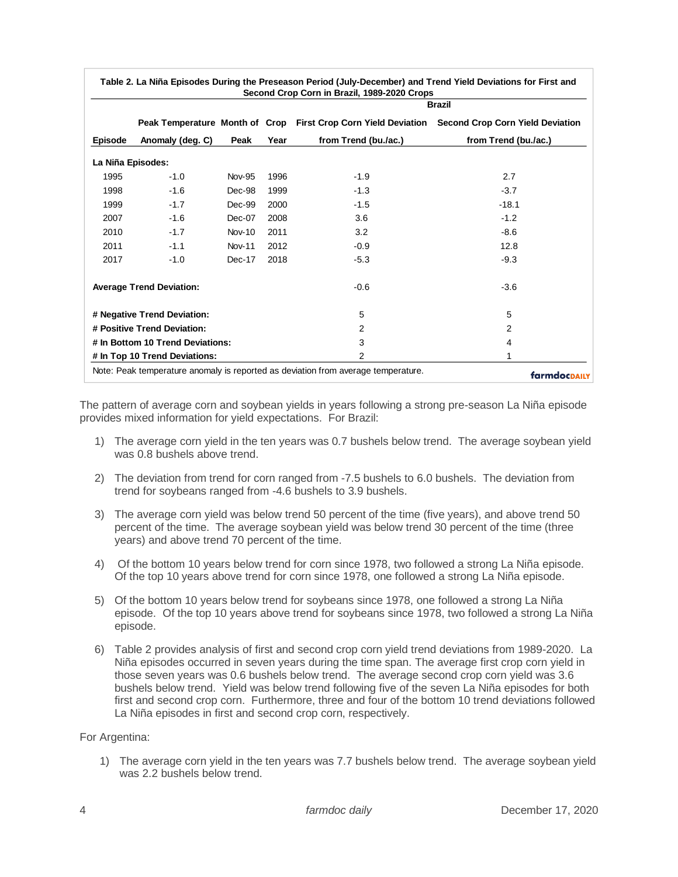| Table 2. La Niña Episodes During the Preseason Period (July-December) and Trend Yield Deviations for First and<br>Second Crop Corn in Brazil, 1989-2020 Crops |                                  |               |      |                      |                                                                                                 |  |  |  |  |
|---------------------------------------------------------------------------------------------------------------------------------------------------------------|----------------------------------|---------------|------|----------------------|-------------------------------------------------------------------------------------------------|--|--|--|--|
|                                                                                                                                                               |                                  | <b>Brazil</b> |      |                      |                                                                                                 |  |  |  |  |
|                                                                                                                                                               |                                  |               |      |                      | Peak Temperature Month of Crop First Crop Corn Yield Deviation Second Crop Corn Yield Deviation |  |  |  |  |
| <b>Episode</b>                                                                                                                                                | Anomaly (deg. C)                 | Peak          | Year | from Trend (bu./ac.) | from Trend (bu./ac.)                                                                            |  |  |  |  |
| La Niña Episodes:                                                                                                                                             |                                  |               |      |                      |                                                                                                 |  |  |  |  |
| 1995                                                                                                                                                          | $-1.0$                           | <b>Nov-95</b> | 1996 | $-1.9$               | 2.7                                                                                             |  |  |  |  |
| 1998                                                                                                                                                          | $-1.6$                           | $Dec-98$      | 1999 | $-1.3$               | $-3.7$                                                                                          |  |  |  |  |
| 1999                                                                                                                                                          | $-1.7$                           | Dec-99        | 2000 | $-1.5$               | $-18.1$                                                                                         |  |  |  |  |
| 2007                                                                                                                                                          | $-1.6$                           | Dec-07        | 2008 | 3.6                  | $-1.2$                                                                                          |  |  |  |  |
| 2010                                                                                                                                                          | $-1.7$                           | <b>Nov-10</b> | 2011 | 3.2                  | $-8.6$                                                                                          |  |  |  |  |
| 2011                                                                                                                                                          | $-1.1$                           | <b>Nov-11</b> | 2012 | $-0.9$               | 12.8                                                                                            |  |  |  |  |
| 2017                                                                                                                                                          | $-1.0$                           | $Dec-17$      | 2018 | $-5.3$               | $-9.3$                                                                                          |  |  |  |  |
|                                                                                                                                                               | <b>Average Trend Deviation:</b>  |               |      | $-0.6$               | $-3.6$                                                                                          |  |  |  |  |
|                                                                                                                                                               | # Negative Trend Deviation:      |               |      | 5                    | 5                                                                                               |  |  |  |  |
|                                                                                                                                                               | # Positive Trend Deviation:      |               |      | 2                    | 2                                                                                               |  |  |  |  |
|                                                                                                                                                               | # In Bottom 10 Trend Deviations: |               |      | 3                    | 4                                                                                               |  |  |  |  |
|                                                                                                                                                               | # In Top 10 Trend Deviations:    |               |      | 2                    | 1                                                                                               |  |  |  |  |
| Note: Peak temperature anomaly is reported as deviation from average temperature.<br>farmdocpally                                                             |                                  |               |      |                      |                                                                                                 |  |  |  |  |

The pattern of average corn and soybean yields in years following a strong pre-season La Niña episode provides mixed information for yield expectations. For Brazil:

- 1) The average corn yield in the ten years was 0.7 bushels below trend. The average soybean yield was 0.8 bushels above trend.
- 2) The deviation from trend for corn ranged from -7.5 bushels to 6.0 bushels. The deviation from trend for soybeans ranged from -4.6 bushels to 3.9 bushels.
- 3) The average corn yield was below trend 50 percent of the time (five years), and above trend 50 percent of the time. The average soybean yield was below trend 30 percent of the time (three years) and above trend 70 percent of the time.
- 4) Of the bottom 10 years below trend for corn since 1978, two followed a strong La Niña episode. Of the top 10 years above trend for corn since 1978, one followed a strong La Niña episode.
- 5) Of the bottom 10 years below trend for soybeans since 1978, one followed a strong La Niña episode. Of the top 10 years above trend for soybeans since 1978, two followed a strong La Niña episode.
- 6) Table 2 provides analysis of first and second crop corn yield trend deviations from 1989-2020. La Niña episodes occurred in seven years during the time span. The average first crop corn yield in those seven years was 0.6 bushels below trend. The average second crop corn yield was 3.6 bushels below trend. Yield was below trend following five of the seven La Niña episodes for both first and second crop corn. Furthermore, three and four of the bottom 10 trend deviations followed La Niña episodes in first and second crop corn, respectively.

For Argentina:

1) The average corn yield in the ten years was 7.7 bushels below trend. The average soybean yield was 2.2 bushels below trend.